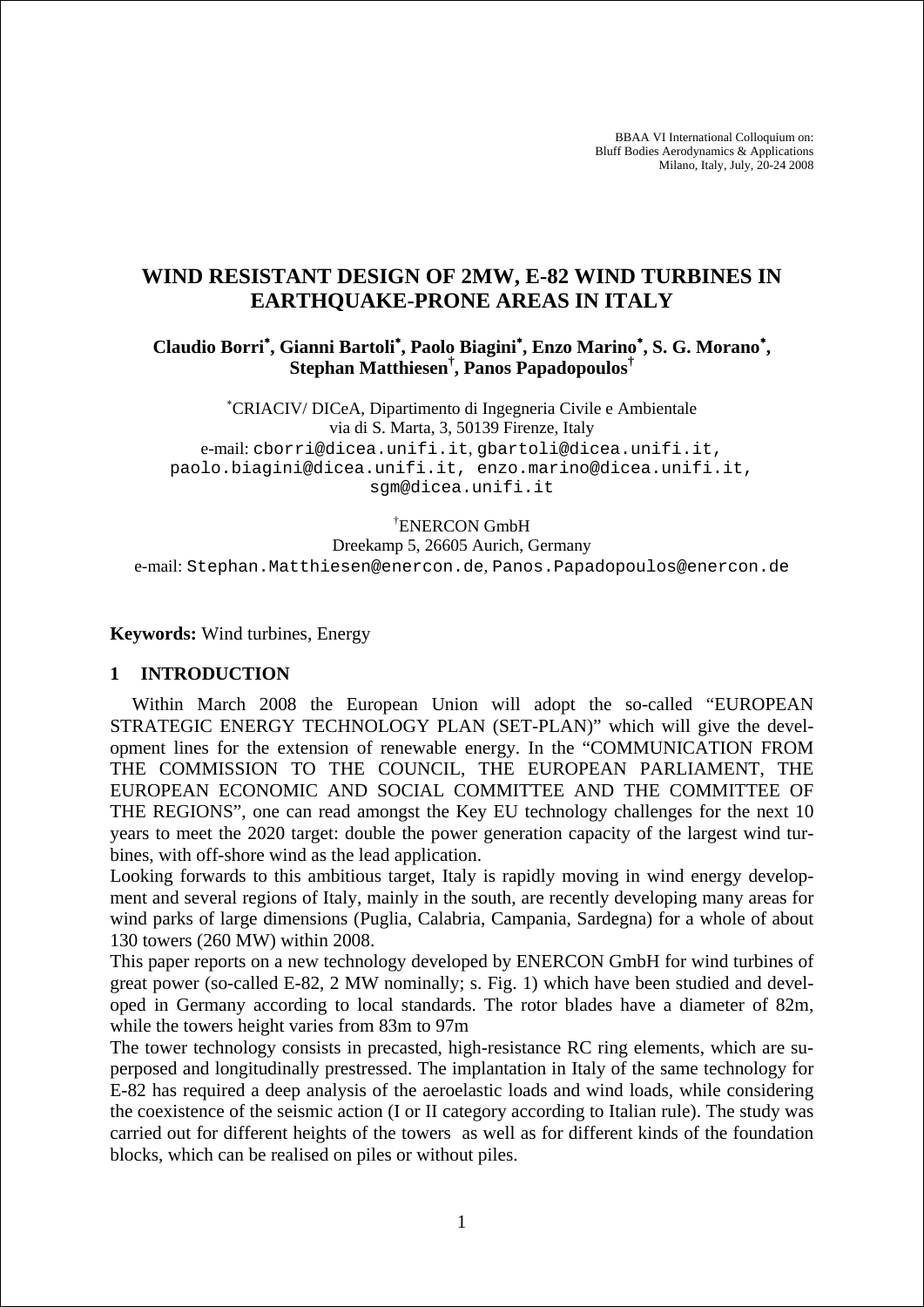BBAA VI International Colloquium on: Bluff Bodies Aerodynamics & Applications Milano, Italy, July, 20-24 2008

# **WIND RESISTANT DESIGN OF 2MW, E-82 WIND TURBINES IN EARTHQUAKE-PRONE AREAS IN ITALY**

**Claudio Borri**<sup>∗</sup> **, Gianni Bartoli**<sup>∗</sup> **, Paolo Biagini**<sup>∗</sup> **, Enzo Marino**<sup>∗</sup> **, S. G. Morano**<sup>∗</sup> **, Stephan Matthiesen† , Panos Papadopoulos†**

∗ CRIACIV/ DICeA, Dipartimento di Ingegneria Civile e Ambientale via di S. Marta, 3, 50139 Firenze, Italy e-mail: cborri@dicea.unifi.it, gbartoli@dicea.unifi.it, paolo.biagini@dicea.unifi.it, enzo.marino@dicea.unifi.it, sgm@dicea.unifi.it

† ENERCON GmbH

Dreekamp 5, 26605 Aurich, Germany e-mail: Stephan.Matthiesen@enercon.de, Panos.Papadopoulos@enercon.de

**Keywords:** Wind turbines, Energy

#### **1 INTRODUCTION**

Within March 2008 the European Union will adopt the so-called "EUROPEAN STRATEGIC ENERGY TECHNOLOGY PLAN (SET-PLAN)" which will give the development lines for the extension of renewable energy. In the "COMMUNICATION FROM THE COMMISSION TO THE COUNCIL, THE EUROPEAN PARLIAMENT, THE EUROPEAN ECONOMIC AND SOCIAL COMMITTEE AND THE COMMITTEE OF THE REGIONS", one can read amongst the Key EU technology challenges for the next 10 years to meet the 2020 target: double the power generation capacity of the largest wind turbines, with off-shore wind as the lead application.

Looking forwards to this ambitious target, Italy is rapidly moving in wind energy development and several regions of Italy, mainly in the south, are recently developing many areas for wind parks of large dimensions (Puglia, Calabria, Campania, Sardegna) for a whole of about 130 towers (260 MW) within 2008.

This paper reports on a new technology developed by ENERCON GmbH for wind turbines of great power (so-called E-82, 2 MW nominally; s. Fig. 1) which have been studied and developed in Germany according to local standards. The rotor blades have a diameter of 82m, while the towers height varies from 83m to 97m

The tower technology consists in precasted, high-resistance RC ring elements, which are superposed and longitudinally prestressed. The implantation in Italy of the same technology for E-82 has required a deep analysis of the aeroelastic loads and wind loads, while considering the coexistence of the seismic action (I or II category according to Italian rule). The study was carried out for different heights of the towers as well as for different kinds of the foundation blocks, which can be realised on piles or without piles.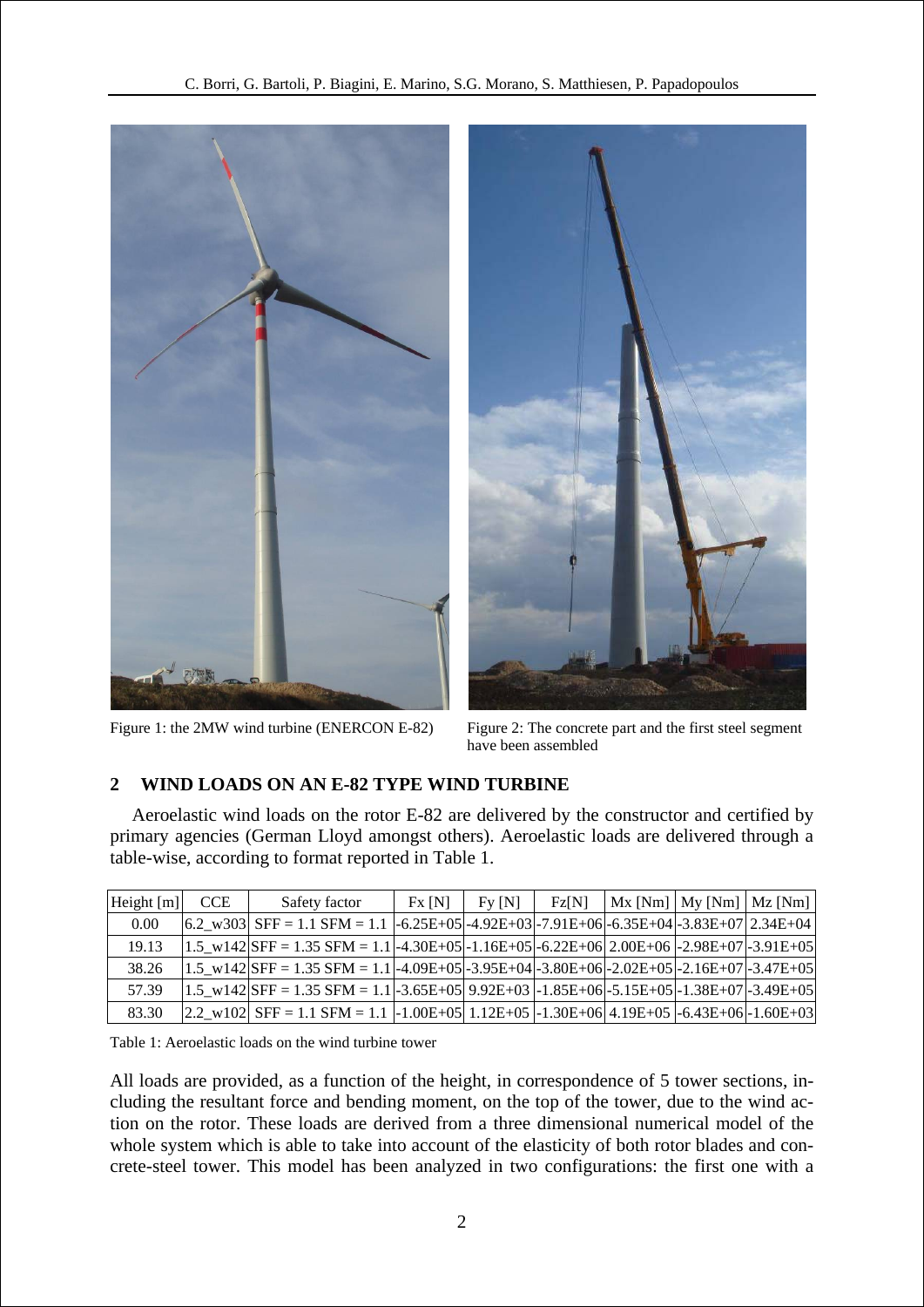

Figure 1: the 2MW wind turbine (ENERCON E-82) Figure 2: The concrete part and the first steel segment



have been assembled

#### **2 WIND LOADS ON AN E-82 TYPE WIND TURBINE**

Aeroelastic wind loads on the rotor E-82 are delivered by the constructor and certified by primary agencies (German Lloyd amongst others). Aeroelastic loads are delivered through a table-wise, according to format reported in Table 1.

| Height $[m]$ | <b>CCE</b> | Safety factor                                                                                                            | Fx[N] | $FV$ [N] | <b>Fz[N]</b> |  | $Mx$ [Nm] $My$ [Nm] $Mz$ [Nm] |
|--------------|------------|--------------------------------------------------------------------------------------------------------------------------|-------|----------|--------------|--|-------------------------------|
| 0.00         |            | $ 6.2_{-}$ w303 SFF = 1.1 SFM = 1.1 $ -6.25E+05 -4.92E+03 -7.91E+06 -6.35E+04 -3.83E+07 2.34E+04 $                       |       |          |              |  |                               |
| 19.13        |            | $1.5_{\text{W}}142$ SFF = 1.35 SFM = 1.1 -4.30E+05 -1.16E+05 -6.22E+06 2.00E+06 -2.98E+07 -3.91E+05                      |       |          |              |  |                               |
| 38.26        |            | $1.5$ w142 SFF = 1.35 SFM = 1.1 -4.09E+05 -3.95E+04 -3.80E+06 -2.02E+05 -2.16E+07 -3.47E+05                              |       |          |              |  |                               |
| 57.39        |            | $1.5 \text{ w142}$ SFF = 1.35 SFM = 1.1 -3.65E+05 9.92E+03 -1.85E+06 -5.15E+05 -1.38E+07 -3.49E+05                       |       |          |              |  |                               |
| 83.30        |            | $[2.2_{\text{W}}102]$ SFF = 1.1 SFM = 1.1 $\text{-}1.00E + 05$ 1.12E + 05 -1.30E + 06 4.19E + 05 -6.43E + 06 -1.60E + 03 |       |          |              |  |                               |

<span id="page-1-0"></span>Table 1: Aeroelastic loads on the wind turbine tower

All loads are provided, as a function of the height, in correspondence of 5 tower sections, including the resultant force and bending moment, on the top of the tower, due to the wind action on the rotor. These loads are derived from a three dimensional numerical model of the whole system which is able to take into account of the elasticity of both rotor blades and concrete-steel tower. This model has been analyzed in two configurations: the first one with a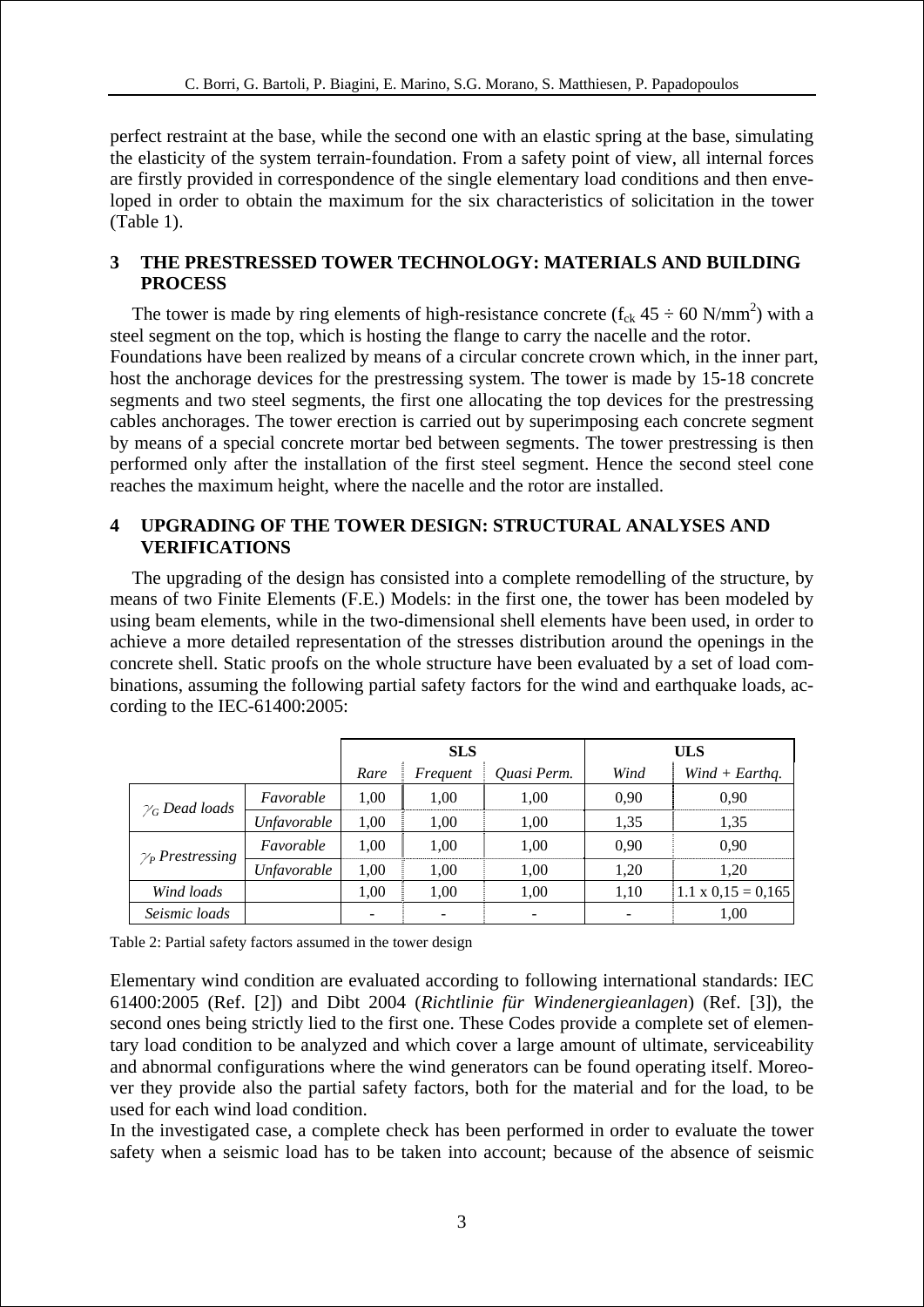perfect restraint at the base, while the second one with an elastic spring at the base, simulating the elasticity of the system terrain-foundation. From a safety point of view, all internal forces are firstly provided in correspondence of the single elementary load conditions and then enveloped in order to obtain the maximum for the six characteristics of solicitation in the tower ([Table 1](#page-1-0)).

#### **3 THE PRESTRESSED TOWER TECHNOLOGY: MATERIALS AND BUILDING PROCESS**

The tower is made by ring elements of high-resistance concrete  $(f_{ck} 45 \div 60 \text{ N/mm}^2)$  with a steel segment on the top, which is hosting the flange to carry the nacelle and the rotor. Foundations have been realized by means of a circular concrete crown which, in the inner part, host the anchorage devices for the prestressing system. The tower is made by 15-18 concrete segments and two steel segments, the first one allocating the top devices for the prestressing cables anchorages. The tower erection is carried out by superimposing each concrete segment by means of a special concrete mortar bed between segments. The tower prestressing is then performed only after the installation of the first steel segment. Hence the second steel cone reaches the maximum height, where the nacelle and the rotor are installed.

#### **4 UPGRADING OF THE TOWER DESIGN: STRUCTURAL ANALYSES AND VERIFICATIONS**

The upgrading of the design has consisted into a complete remodelling of the structure, by means of two Finite Elements (F.E.) Models: in the first one, the tower has been modeled by using beam elements, while in the two-dimensional shell elements have been used, in order to achieve a more detailed representation of the stresses distribution around the openings in the concrete shell. Static proofs on the whole structure have been evaluated by a set of load combinations, assuming the following partial safety factors for the wind and earthquake loads, according to the IEC-61400:2005:

|                         |             |      | <b>SLS</b> |             | <b>ULS</b> |                           |  |
|-------------------------|-------------|------|------------|-------------|------------|---------------------------|--|
|                         |             | Rare | Frequent   | Quasi Perm. | Wind       | $Wind + Earthq.$          |  |
| $\gamma_G$ Dead loads   | Favorable   | 1.00 | 1.00       | 1,00        | 0,90       | 0.90                      |  |
|                         | Unfavorable | 1.00 | 1,00       | 1,00        | 1,35       | 1,35                      |  |
| $\gamma_P$ Prestressing | Favorable   | 1.00 | 1.00       | 1,00        | 0,90       | 0.90                      |  |
|                         | Unfavorable | 1.00 | 1.00       | 1,00        | 1,20       | 1,20                      |  |
| Wind loads              |             | 1,00 | 1,00       | 1,00        | 1,10       | $1.1 \times 0.15 = 0.165$ |  |
| Seismic loads           |             |      |            |             |            | 1,00                      |  |

Table 2: Partial safety factors assumed in the tower design

Elementary wind condition are evaluated according to following international standards: IEC 61400:2005 (Ref. [2]) and Dibt 2004 (*Richtlinie für Windenergieanlagen*) (Ref. [3]), the second ones being strictly lied to the first one. These Codes provide a complete set of elementary load condition to be analyzed and which cover a large amount of ultimate, serviceability and abnormal configurations where the wind generators can be found operating itself. Moreover they provide also the partial safety factors, both for the material and for the load, to be used for each wind load condition.

In the investigated case, a complete check has been performed in order to evaluate the tower safety when a seismic load has to be taken into account; because of the absence of seismic